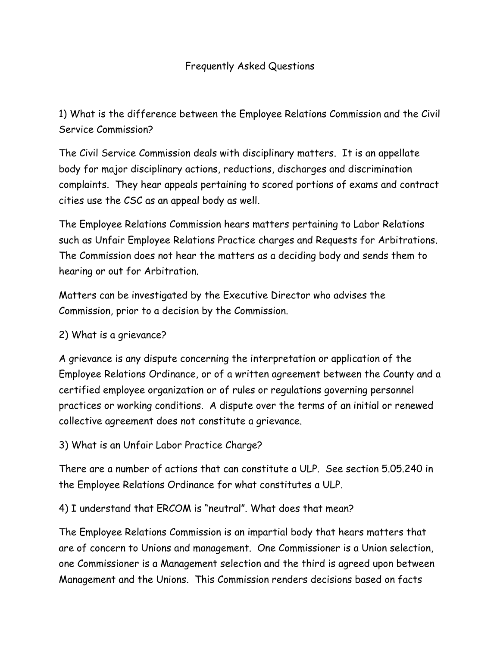## Frequently Asked Questions

1) What is the difference between the Employee Relations Commission and the Civil Service Commission?

The Civil Service Commission deals with disciplinary matters. It is an appellate body for major disciplinary actions, reductions, discharges and discrimination complaints. They hear appeals pertaining to scored portions of exams and contract cities use the CSC as an appeal body as well.

The Employee Relations Commission hears matters pertaining to Labor Relations such as Unfair Employee Relations Practice charges and Requests for Arbitrations. The Commission does not hear the matters as a deciding body and sends them to hearing or out for Arbitration.

Matters can be investigated by the Executive Director who advises the Commission, prior to a decision by the Commission.

## 2) What is a grievance?

A grievance is any dispute concerning the interpretation or application of the Employee Relations Ordinance, or of a written agreement between the County and a certified employee organization or of rules or regulations governing personnel practices or working conditions. A dispute over the terms of an initial or renewed collective agreement does not constitute a grievance.

## 3) What is an Unfair Labor Practice Charge?

There are a number of actions that can constitute a ULP. See section 5.05.240 in the Employee Relations Ordinance for what constitutes a ULP.

4) I understand that ERCOM is "neutral". What does that mean?

The Employee Relations Commission is an impartial body that hears matters that are of concern to Unions and management. One Commissioner is a Union selection, one Commissioner is a Management selection and the third is agreed upon between Management and the Unions. This Commission renders decisions based on facts